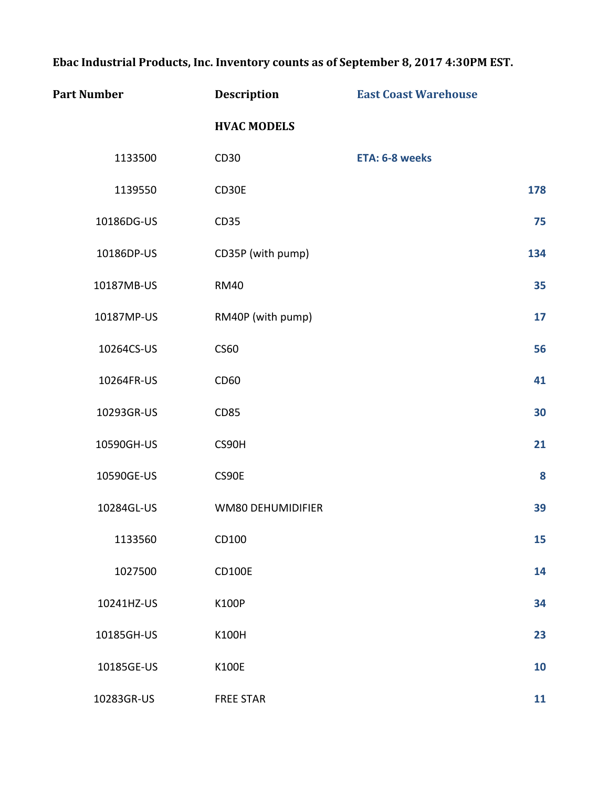Ebac Industrial Products, Inc. Inventory counts as of September 8, 2017 4:30PM EST.

| <b>Part Number</b> | Description        | <b>East Coast Warehouse</b> |     |
|--------------------|--------------------|-----------------------------|-----|
|                    | <b>HVAC MODELS</b> |                             |     |
| 1133500            | CD30               | ETA: 6-8 weeks              |     |
| 1139550            | CD30E              |                             | 178 |
| 10186DG-US         | <b>CD35</b>        |                             | 75  |
| 10186DP-US         | CD35P (with pump)  |                             | 134 |
| 10187MB-US         | <b>RM40</b>        |                             | 35  |
| 10187MP-US         | RM40P (with pump)  |                             | 17  |
| 10264CS-US         | <b>CS60</b>        |                             | 56  |
| 10264FR-US         | CD60               |                             | 41  |
| 10293GR-US         | <b>CD85</b>        |                             | 30  |
| 10590GH-US         | CS90H              |                             | 21  |
| 10590GE-US         | CS90E              |                             | 8   |
| 10284GL-US         | WM80 DEHUMIDIFIER  |                             | 39  |
| 1133560            | CD100              |                             | 15  |
| 1027500            | CD100E             |                             | 14  |
| 10241HZ-US         | <b>K100P</b>       |                             | 34  |
| 10185GH-US         | K100H              |                             | 23  |
| 10185GE-US         | <b>K100E</b>       |                             | 10  |
| 10283GR-US         | <b>FREE STAR</b>   |                             | 11  |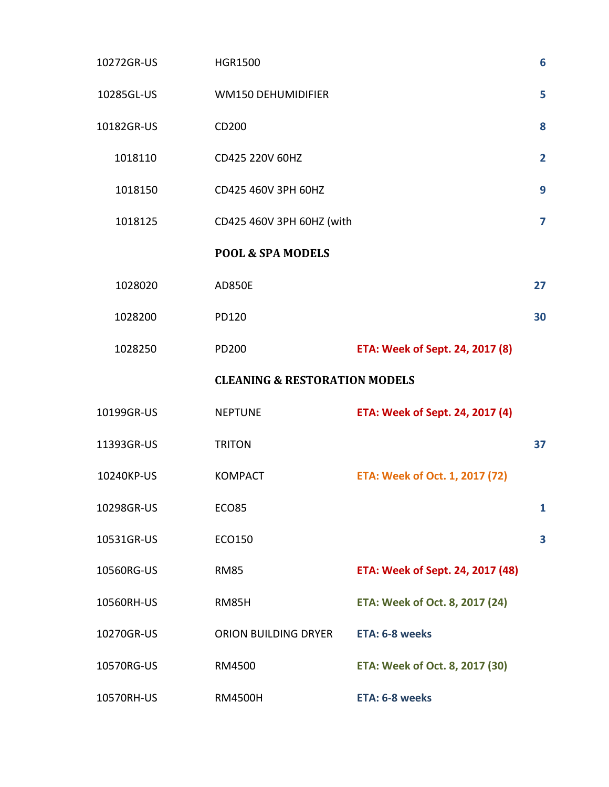| 10272GR-US | <b>HGR1500</b>                           |                                  | 6              |
|------------|------------------------------------------|----------------------------------|----------------|
| 10285GL-US | <b>WM150 DEHUMIDIFIER</b>                |                                  | 5              |
| 10182GR-US | CD200                                    |                                  | 8              |
| 1018110    | CD425 220V 60HZ                          |                                  | $\overline{2}$ |
| 1018150    | CD425 460V 3PH 60HZ                      |                                  |                |
| 1018125    | CD425 460V 3PH 60HZ (with                |                                  |                |
|            | <b>POOL &amp; SPA MODELS</b>             |                                  |                |
| 1028020    | <b>AD850E</b>                            |                                  | 27             |
| 1028200    | PD120                                    |                                  | 30             |
| 1028250    | PD200                                    | ETA: Week of Sept. 24, 2017 (8)  |                |
|            | <b>CLEANING &amp; RESTORATION MODELS</b> |                                  |                |
| 10199GR-US | <b>NEPTUNE</b>                           | ETA: Week of Sept. 24, 2017 (4)  |                |
| 11393GR-US | <b>TRITON</b>                            |                                  | 37             |
| 10240KP-US | <b>KOMPACT</b>                           | ETA: Week of Oct. 1, 2017 (72)   |                |
| 10298GR-US | <b>ECO85</b>                             |                                  | $\mathbf{1}$   |
| 10531GR-US | ECO150                                   |                                  | 3              |
| 10560RG-US | <b>RM85</b>                              | ETA: Week of Sept. 24, 2017 (48) |                |
| 10560RH-US | RM85H                                    | ETA: Week of Oct. 8, 2017 (24)   |                |
| 10270GR-US | ORION BUILDING DRYER                     | ETA: 6-8 weeks                   |                |
| 10570RG-US | RM4500                                   | ETA: Week of Oct. 8, 2017 (30)   |                |
| 10570RH-US | <b>RM4500H</b>                           | ETA: 6-8 weeks                   |                |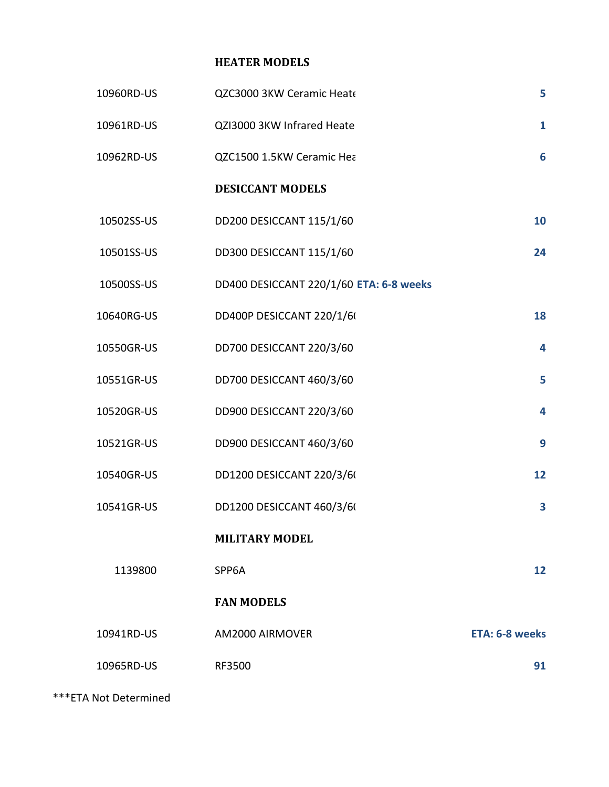## **HEATER MODELS**

| 10960RD-US | QZC3000 3KW Ceramic Heat                | 5                       |
|------------|-----------------------------------------|-------------------------|
| 10961RD-US | QZI3000 3KW Infrared Heate              | $\mathbf{1}$            |
| 10962RD-US | QZC1500 1.5KW Ceramic Hea               | 6                       |
|            | <b>DESICCANT MODELS</b>                 |                         |
| 10502SS-US | DD200 DESICCANT 115/1/60                | 10                      |
| 10501SS-US | DD300 DESICCANT 115/1/60                | 24                      |
| 10500SS-US | DD400 DESICCANT 220/1/60 ETA: 6-8 weeks |                         |
| 10640RG-US | DD400P DESICCANT 220/1/60               | 18                      |
| 10550GR-US | DD700 DESICCANT 220/3/60                | 4                       |
| 10551GR-US | DD700 DESICCANT 460/3/60                | 5                       |
| 10520GR-US | DD900 DESICCANT 220/3/60                | $\overline{\mathbf{4}}$ |
| 10521GR-US | DD900 DESICCANT 460/3/60                | 9                       |
| 10540GR-US | DD1200 DESICCANT 220/3/60               | 12                      |
| 10541GR-US | DD1200 DESICCANT 460/3/60               | 3                       |
|            | <b>MILITARY MODEL</b>                   |                         |
| 1139800    | SPP6A                                   | 12                      |
|            | <b>FAN MODELS</b>                       |                         |
| 10941RD-US | AM2000 AIRMOVER                         | ETA: 6-8 weeks          |
| 10965RD-US | RF3500                                  | 91                      |

\*\*\*ETA Not Determined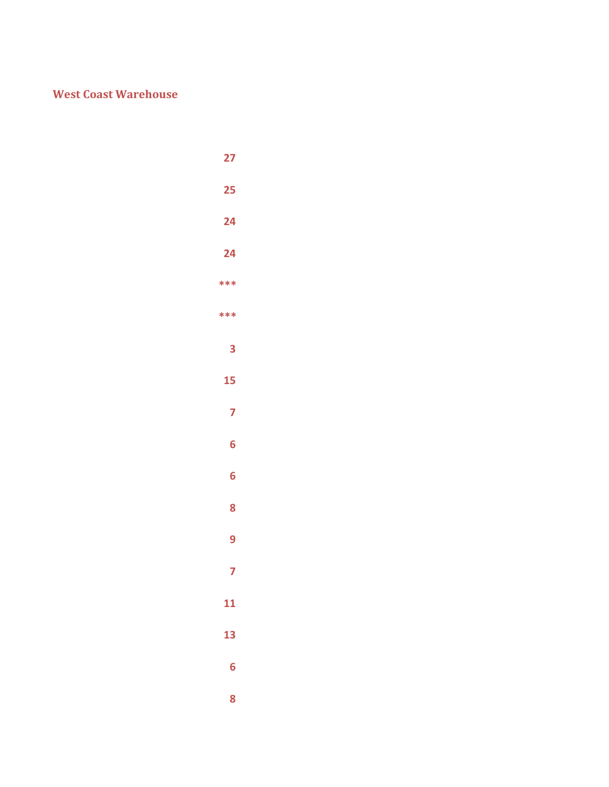## **West Coast Warehouse**

- **\*\*\* \*\*\***
	-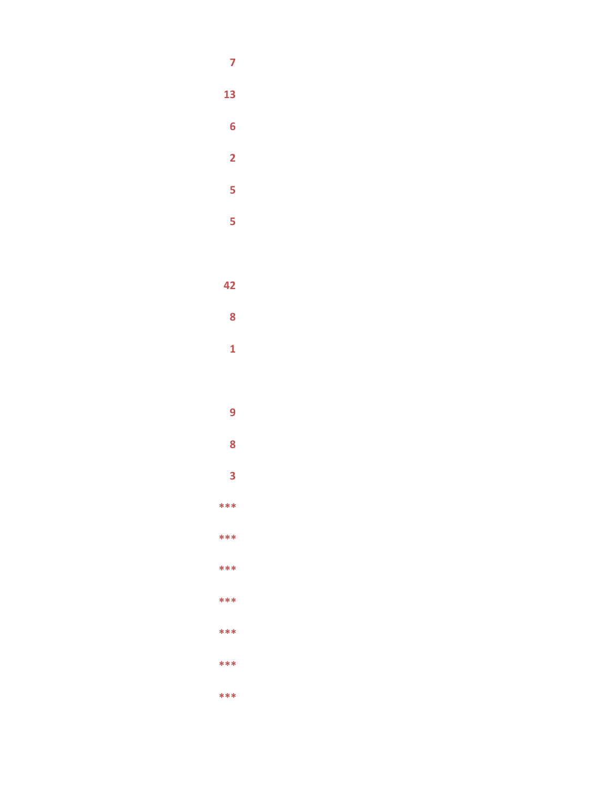- $\overline{7}$
- 13
- $\overline{\mathbf{6}}$ 
	- $\overline{2}$
	- $\overline{\mathbf{5}}$
	- $\overline{\mathbf{5}}$
- 42
- $\boldsymbol{8}$
- $\overline{\mathbf{1}}$
- - $\overline{9}$
	- $\overline{\mathbf{8}}$
- $\overline{\mathbf{3}}$  $***$
- \*\*\*
- $***$
- $***$
- $***$ \*\*\*
- \*\*\*